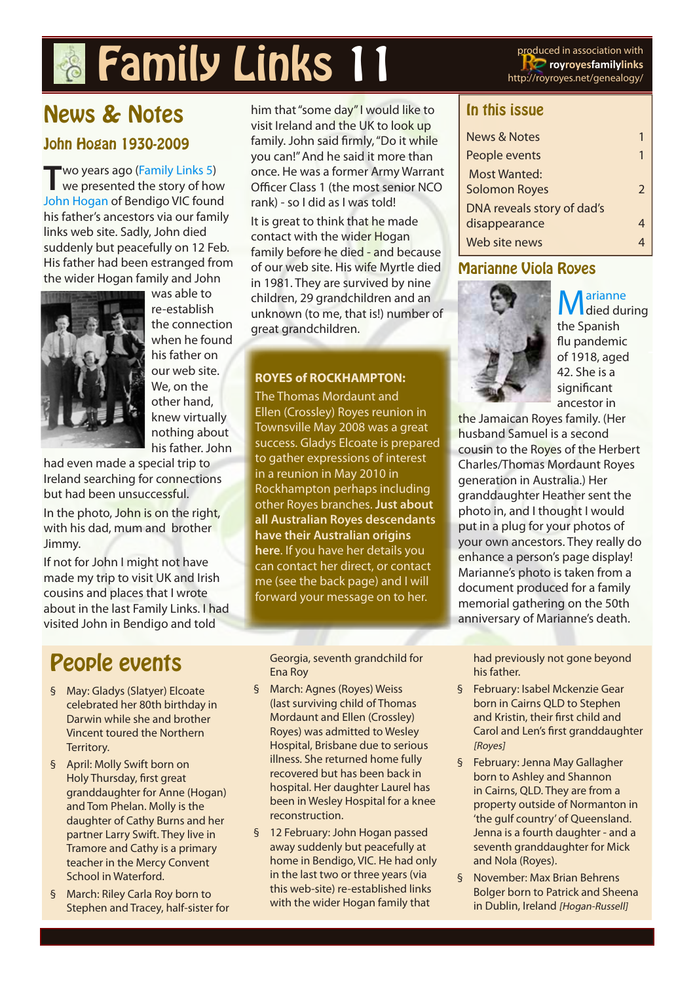# **Family Links 11** produced in association with

**royroyesfamilylinks** http://royroyes.net/genealogy/

## News & Notes John Hogan 1930-2009

**T**wo years ago ([Family Links 5](http://royroyes.net/genealogy/newsletters/RRFL05/RRFL0706_2.jpg)) we presented the story of how [John Hogan](http://royroyes.net/genealogy/getperson.php?personID=I1408&tree=rr_tree) of Bendigo VIC found his father's ancestors via our family links web site. Sadly, John died suddenly but peacefully on 12 Feb. His father had been estranged from the wider Hogan family and John



was able to re-establish the connection when he found his father on our web site. We, on the other hand, knew virtually nothing about his father. John

had even made a special trip to Ireland searching for connections but had been unsuccessful.

In the photo, John is on the right, with his dad, mum and brother Jimmy.

If not for John I might not have made my trip to visit UK and Irish cousins and places that I wrote about in the last Family Links. I had visited John in Bendigo and told

## People events

- § May: Gladys (Slatyer) Elcoate celebrated her 80th birthday in Darwin while she and brother Vincent toured the Northern Territory.
- § April: Molly Swift born on Holy Thursday, first great granddaughter for Anne (Hogan) and Tom Phelan. Molly is the daughter of Cathy Burns and her partner Larry Swift. They live in Tramore and Cathy is a primary teacher in the Mercy Convent School in Waterford.
- § March: Riley Carla Roy born to Stephen and Tracey, half-sister for

him that "some day" I would like to visit Ireland and the UK to look up family. John said firmly, "Do it while you can!" And he said it more than once. He was a former Army Warrant Officer Class 1 (the most senior NCO rank) - so I did as I was told!

It is great to think that he made contact with the wider Hogan family before he died - and because of our web site. His wife Myrtle died in 1981. They are survived by nine children, 29 grandchildren and an unknown (to me, that is!) number of great grandchildren.

#### **ROYES of ROCKHAMPTON:**

The Thomas Mordaunt and Ellen (Crossley) Royes reunion in Townsville May 2008 was a great success. Gladys Elcoate is prepared to gather expressions of interest in a reunion in May 2010 in Rockhampton perhaps including other Royes branches. **Just about all Australian Royes descendants have their Australian origins here**. If you have her details you can contact her direct, or contact me (see the back page) and I will forward your message on to her.

Georgia, seventh grandchild for Ena Roy

- § March: Agnes (Royes) Weiss (last surviving child of Thomas Mordaunt and Ellen (Crossley) Royes) was admitted to Wesley Hospital, Brisbane due to serious illness. She returned home fully recovered but has been back in hospital. Her daughter Laurel has been in Wesley Hospital for a knee reconstruction.
- § 12 February: John Hogan passed away suddenly but peacefully at home in Bendigo, VIC. He had only in the last two or three years (via this web-site) re-established links with the wider Hogan family that

#### In this issue

| News & Notes               | 1             |
|----------------------------|---------------|
| People events              | 1             |
| Most Wanted:               |               |
| <b>Solomon Royes</b>       | $\mathcal{P}$ |
| DNA reveals story of dad's |               |
| disappearance              |               |
| Web site news              |               |
|                            |               |

### Marianne Viola Royes



 $M_{\text{died during}}$ the Spanish flu pandemic of 1918, aged 42. She is a significant ancestor in

the Jamaican Royes family. (Her husband Samuel is a second cousin to the Royes of the Herbert Charles/Thomas Mordaunt Royes generation in Australia.) Her granddaughter Heather sent the photo in, and I thought I would put in a plug for your photos of your own ancestors. They really do enhance a person's page display! Marianne's photo is taken from a document produced for a family memorial gathering on the 50th anniversary of Marianne's death.

had previously not gone beyond his father.

- § February: Isabel Mckenzie Gear born in Cairns QLD to Stephen and Kristin, their first child and Carol and Len's first granddaughter [Royes]
- § February: Jenna May Gallagher born to Ashley and Shannon in Cairns, QLD. They are from a property outside of Normanton in 'the gulf country' of Queensland. Jenna is a fourth daughter - and a seventh granddaughter for Mick and Nola (Royes).
- § November: Max Brian Behrens Bolger born to Patrick and Sheena in Dublin, Ireland [Hogan-Russell]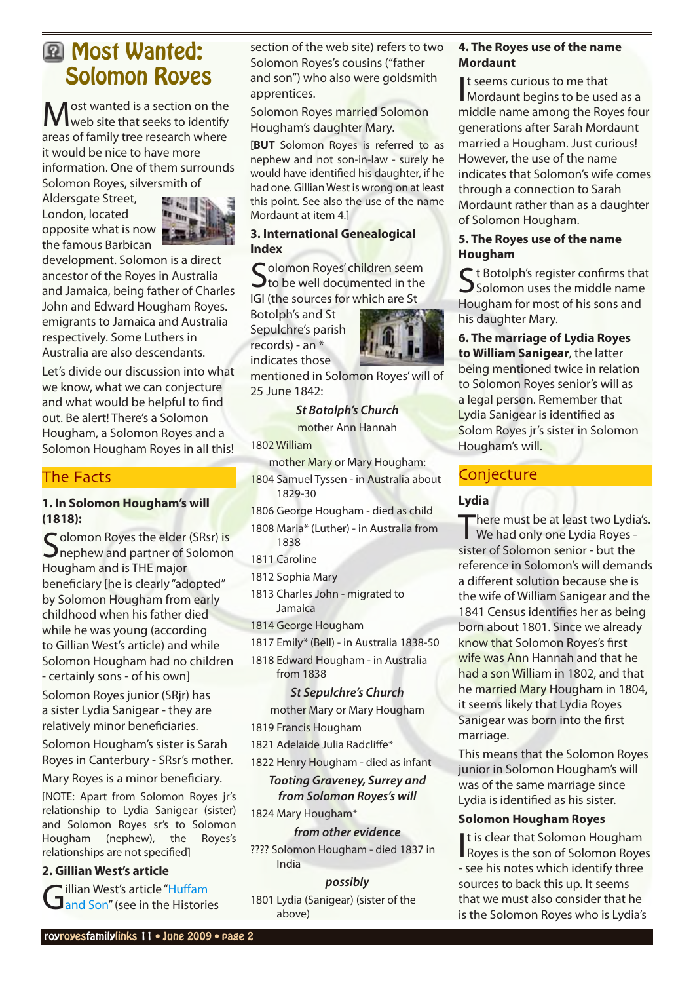## <span id="page-1-0"></span>**E** Most Wanted: Solomon Royes

Most wanted is a section on the web site that seeks to identify areas of family tree research where it would be nice to have more information. One of them surrounds Solomon Royes, silversmith of

Aldersgate Street, London, located opposite what is now the famous Barbican



development. Solomon is a direct ancestor of the Royes in Australia and Jamaica, being father of Charles John and Edward Hougham Royes. emigrants to Jamaica and Australia respectively. Some Luthers in Australia are also descendants.

Let's divide our discussion into what we know, what we can conjecture and what would be helpful to find out. Be alert! There's a Solomon Hougham, a Solomon Royes and a Solomon Hougham Royes in all this!

#### The Facts

#### **1. In Solomon Hougham's will (1818):**

Colomon Royes the elder (SRsr) is  $\mathbf{\mathcal{J}}$ nephew and partner of Solomon Hougham and is THE major beneficiary [he is clearly "adopted" by Solomon Hougham from early childhood when his father died while he was young (according to Gillian West's article) and while Solomon Hougham had no children - certainly sons - of his own]

Solomon Royes junior (SRjr) has a sister Lydia Sanigear - they are relatively minor beneficiaries.

Solomon Hougham's sister is Sarah Royes in Canterbury - SRsr's mother.

Mary Royes is a minor beneficiary.

[NOTE: Apart from Solomon Royes jr's relationship to Lydia Sanigear (sister) and Solomon Royes sr's to Solomon Hougham (nephew), the Royes's relationships are not specified]

#### **2. Gillian West's article**

Gillian West's article "Huffam<br>Gand Son" (see in the Histories

section of the web site) refers to two Solomon Royes's cousins ("father and son") who also were goldsmith apprentices.

Solomon Royes married Solomon Hougham's daughter Mary.

[**BUT** Solomon Royes is referred to as nephew and not son-in-law - surely he would have identified his daughter, if he had one. Gillian West is wrong on at least this point. See also the use of the name Mordaunt at item 4.]

#### **3. International Genealogical Index**

Colomon Royes' children seem  $\mathbf{\mathcal{J}}$  to be well documented in the IGI (the sources for which are St

Botolph's and St Sepulchre's parish records) - an \* indicates those



mentioned in Solomon Royes' will of 25 June 1842:

#### *St Botolph's Church*

mother Ann Hannah

1802 William

mother Mary or Mary Hougham: 1804 Samuel Tyssen - in Australia about 1829-30

- 1806 George Hougham died as child
- 1808 Maria\* (Luther) in Australia from 1838

1811 Caroline

1812 Sophia Mary

1813 Charles John - migrated to Jamaica

1814 George Hougham

1817 Emily\* (Bell) - in Australia 1838-50

1818 Edward Hougham - in Australia from 1838

#### *St Sepulchre's Church*

mother Mary or Mary Hougham

1819 Francis Hougham

1821 Adelaide Julia Radcliffe\*

1822 Henry Hougham - died as infant

#### *Tooting Graveney, Surrey and from Solomon Royes's will*

1824 Mary Hougham\*

#### *from other evidence*

???? Solomon Hougham - died 1837 in India

*possibly* 1801 Lydia (Sanigear) (sister of the above)

#### **4. The Royes use of the name Mordaunt**

t seems curious to me that<br>Mordaunt begins to be used as a t seems curious to me that middle name among the Royes four generations after Sarah Mordaunt married a Hougham. Just curious! However, the use of the name indicates that Solomon's wife comes through a connection to Sarah Mordaunt rather than as a daughter of Solomon Hougham.

#### **5. The Royes use of the name Hougham**

 $\bigcap$  t Botolph's register confirms that  $\bigcup$  Solomon uses the middle name Hougham for most of his sons and his daughter Mary.

**6. The marriage of Lydia Royes to William Sanigear**, the latter being mentioned twice in relation to Solomon Royes senior's will as a legal person. Remember that Lydia Sanigear is identified as Solom Royes jr's sister in Solomon Hougham's will.

### **Conjecture**

#### **Lydia**

There must be at least two Lydia's. We had only one Lydia Royes sister of Solomon senior - but the reference in Solomon's will demands a different solution because she is the wife of William Sanigear and the 1841 Census identifies her as being born about 1801. Since we already know that Solomon Royes's first wife was Ann Hannah and that he had a son William in 1802, and that he married Mary Hougham in 1804, it seems likely that Lydia Royes Sanigear was born into the first marriage.

This means that the Solomon Royes junior in Solomon Hougham's will was of the same marriage since Lydia is identified as his sister.

#### **Solomon Hougham Royes**

**It is clear that Solomon Hougham<br>Royes is the son of Solomon Royes** t is clear that Solomon Hougham - see his notes which identify three sources to back this up. It seems that we must also consider that he is the Solomon Royes who is Lydia's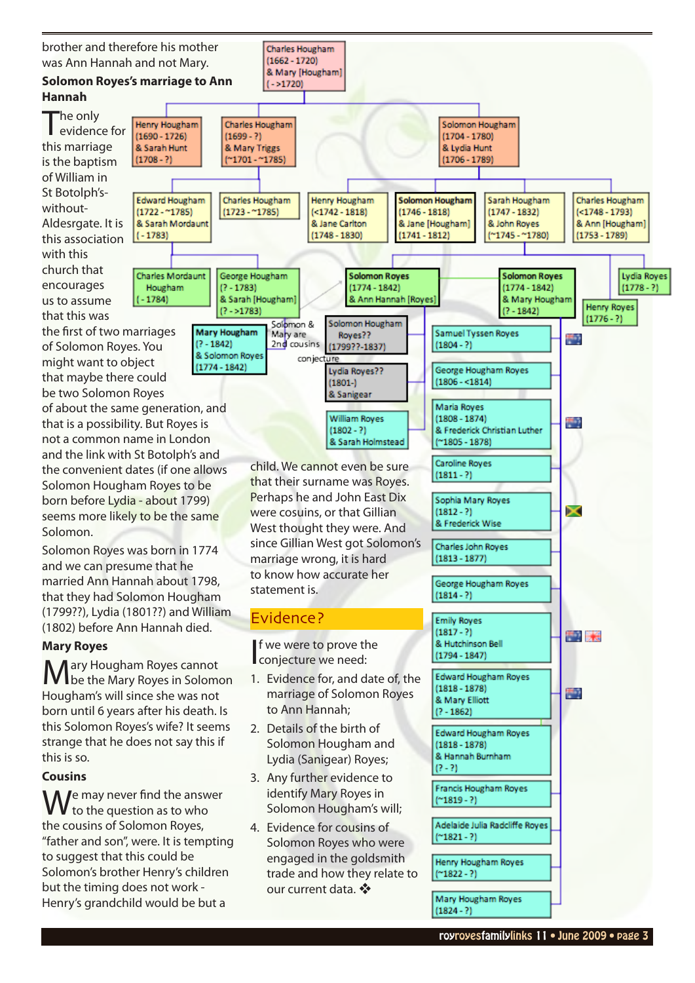